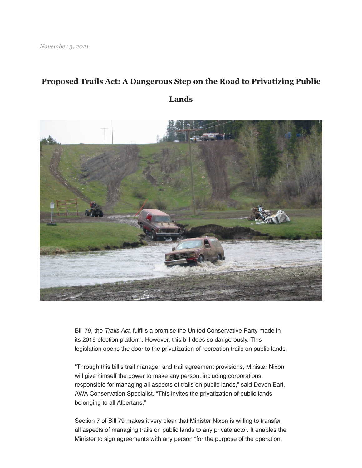## **Proposed Trails Act: A Dangerous Step on the Road to Privatizing Public**

**Lands**



Bill 79, the *Trails Act*, fulfills a promise the United Conservative Party made in its 2019 election platform. However, this bill does so dangerously. This legislation opens the door to the privatization of recreation trails on public lands.

"Through this bill's trail manager and trail agreement provisions, Minister Nixon will give himself the power to make any person, including corporations, responsible for managing all aspects of trails on public lands," said Devon Earl, AWA Conservation Specialist. "This invites the privatization of public lands belonging to all Albertans."

Section 7 of Bill 79 makes it very clear that Minister Nixon is willing to transfer all aspects of managing trails on public lands to any private actor. It enables the Minister to sign agreements with any person "for the purpose of the operation,